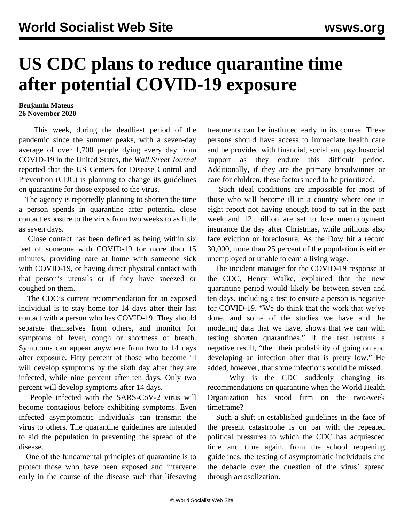## **US CDC plans to reduce quarantine time after potential COVID-19 exposure**

## **Benjamin Mateus 26 November 2020**

 This week, during the deadliest period of the pandemic since the summer peaks, with a seven-day average of over 1,700 people dying every day from COVID-19 in the United States, the *Wall Street Journal* reported that the US Centers for Disease Control and Prevention (CDC) is planning to change its guidelines on quarantine for those exposed to the virus.

 The agency is reportedly planning to shorten the time a person spends in quarantine after potential close contact exposure to the virus from two weeks to as little as seven days.

 Close contact has been defined as being within six feet of someone with COVID-19 for more than 15 minutes, providing care at home with someone sick with COVID-19, or having direct physical contact with that person's utensils or if they have sneezed or coughed on them.

 The CDC's current recommendation for an exposed individual is to stay home for 14 days after their last contact with a person who has COVID-19. They should separate themselves from others, and monitor for symptoms of fever, cough or shortness of breath. Symptoms can appear anywhere from two to 14 days after exposure. Fifty percent of those who become ill will develop symptoms by the sixth day after they are infected, while nine percent after ten days. Only two percent will develop symptoms after 14 days.

 People infected with the SARS-CoV-2 virus will become contagious before exhibiting symptoms. Even infected asymptomatic individuals can transmit the virus to others. The quarantine guidelines are intended to aid the population in preventing the spread of the disease.

 One of the fundamental principles of quarantine is to protect those who have been exposed and intervene early in the course of the disease such that lifesaving treatments can be instituted early in its course. These persons should have access to immediate health care and be provided with financial, social and psychosocial support as they endure this difficult period. Additionally, if they are the primary breadwinner or care for children, these factors need to be prioritized.

 Such ideal conditions are impossible for most of those who will become ill in a country where one in eight report not having enough food to eat in the past week and 12 million are set to lose unemployment insurance the day after Christmas, while millions also face eviction or foreclosure. As the Dow hit a record 30,000, more than 25 percent of the population is either unemployed or unable to earn a living wage.

 The incident manager for the COVID-19 response at the CDC, Henry Walke, explained that the new quarantine period would likely be between seven and ten days, including a test to ensure a person is negative for COVID-19. "We do think that the work that we've done, and some of the studies we have and the modeling data that we have, shows that we can with testing shorten quarantines." If the test returns a negative result, "then their probability of going on and developing an infection after that is pretty low." He added, however, that some infections would be missed.

 Why is the CDC suddenly changing its recommendations on quarantine when the World Health Organization has stood firm on the two-week timeframe?

 Such a shift in established guidelines in the face of the present catastrophe is on par with the repeated political pressures to which the CDC has acquiesced time and time again, from the school reopening guidelines, the testing of asymptomatic individuals and the [debacle](/en/articles/2020/09/23/cdcg-s23.html) over the question of the virus' spread through aerosolization.